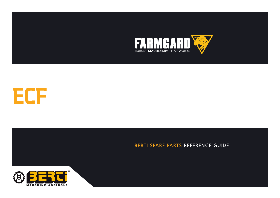



# BERTI SPARE PARTS REFERENCE GUIDE



**CATALOGUE DE PIECES DETACHEES**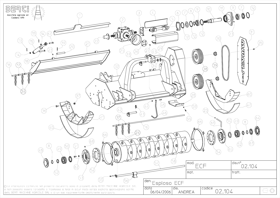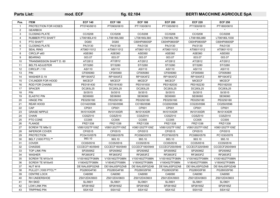## Parts List: **Mod. ECF fig. 02.104** BERTI MACCHINE AGRICOLE SpA

| Pos.           | <b>ITEM</b>                 | <b>ECF 140</b> | <b>ECF 160</b> | <b>ECF 180</b> | <b>ECF 200</b> | <b>ECF 220</b> | <b>ECF 250</b> |  |
|----------------|-----------------------------|----------------|----------------|----------------|----------------|----------------|----------------|--|
| $\mathbf{1}$   | <b>PROTECTION FOR HOSES</b> | PT0740/0610    | PT0900/0610    | PT1100/0610    | PT1300/0610    | PT1500/0610    | PT1800/0610    |  |
| 2              | <b>GEARBOX</b>              | $\star$        | $\star$        | $\star$        | $\star$        | $\star$        | $\star$        |  |
| 3              | <b>CLOSING PLATE</b>        | CC/0208        | CC/0208        | CC/0208        | CC/0208        | CC/0208        | CC/0208        |  |
| $\overline{4}$ | <b>RUBBER PTO SHAFT</b>     | LT06180L410    | LT06180L560    | LT06180L560    | LT06180L790    | LT06180L880    | LT06180L1030   |  |
| 5              | PTO SHAFT                   | <b>DG60</b>    | <b>DG60</b>    | C60HP0800SP    | C60HP0800SP    | C60HP0800SP    | C60HP0800SP    |  |
| 6              | <b>CLOSING PLATE</b>        | PA/3130        | PA/3130        | PA/3130        | PA/3130        | PA/3130        | PA/3130        |  |
| $\overline{7}$ | <b>SEAL RING</b>            | AT06011012     | AT06011012     | AT06011012     | AT06011012     | AT06011012     | AT06011012     |  |
| 8              | CIRCLIP e60                 | ASE060         | ASE060         | <b>ASE060</b>  | ASE060         | ASE060         | ASE060         |  |
| 9              | <b>BEARING</b>              | 003.07         | 003.07         | 003.07         | 003.07         | 003.07         | 003.07         |  |
| 10             | TRANSMISSION SHAFT D. 60    | AT/2812        | AT/2812        | AT/2812        | AT/2812        | AT/2812        | AT/2812        |  |
| 11             | <b>BELTS ADJUSTER</b>       | ST/3280        | ST/3280        | ST/3280        | ST/3280        | ST/3280        | ST/3280        |  |
| 12             | CIRCLIP i 110               | <b>ASI110</b>  | ASI110         | ASI110         | ASI110         | ASI110         | ASI110         |  |
| 13             | <b>PIN</b>                  | CF005060       | CF005060       | CF005060       | CF005060       | CF005060       | CF005060       |  |
| 14             | WASHER D.19                 | RP19XXFZ       | RP19XXFZ       | RP19XXFZ       | RP19XXFZ       | RP19XXFZ       | RP19XXFZ       |  |
| 15             | <b>CYLINDER FOR HOOD</b>    | <b>MICECF</b>  | <b>MICECF</b>  | <b>MICECF</b>  | <b>MICECF</b>  | <b>MICECF</b>  | <b>MICECF</b>  |  |
| 16             | <b>ROD FOR CHAINS</b>       | PE0181430      | PE0181630      | PE0181830      | PE0182030      | PE0182230      | PE0182530      |  |
| 17             | <b>SPACER</b>               | DC283L25       | DC283L25       | DC283L25       | DC283L25       | DC283L25       | DC283L25       |  |
| 18             | <b>PIN</b>                  | SI/3515        | SI/3515        | SI/3515        | SI/3515        | SI/3515        | SI/3515        |  |
| 19             | <b>ELASTIC PIN</b>          | SE06060        | SE06060        | SE06060        | SE06060        | SE06060        | SE06060        |  |
| 20             | <b>HINGE PIN</b>            | PE0250180      | PE0250180      | PE0250180      | PE0250180      | PE0250180      | PE0250180      |  |
| 21             | <b>REAR HOOD</b>            | CO140/0596     | CO160/0596     | CO180/0596     | CO200/0596     | CO220/0596     | CO250/0596     |  |
| 22             | CAP                         | CP001          | CP001          | CP001          | CP001          | CP001          | CP001          |  |
| 23             | <b>GRASE NIPPLE</b>         | IN101XXDR      | IN101XXDR      | IN101XXDR      | IN101XXDR      | IN101XXDR      | IN101XXDR      |  |
| 24             | <b>CHAIN</b>                | CGSZ010        | CGSZ010        | CGSZ010        | CGSZ010        | CGSZ010        | CGSZ010        |  |
| 25             | PTO CONE                    | CC005          | CC005          | CC005          | CC005          | CC005          | CC005          |  |
| 26             | <b>FLANGE</b>               | FRZ/1338       | FRZ/1338       | FRZ/1338       | FRZ/1338       | FRZ/1338       | FRZ/1338       |  |
| 27             | SCREW TE M8x12              | V0801202TF109Z | V0801202TF109Z | V0801202TF109Z | V0801202TF109Z | V0801202TF109Z | V0801202TF109Z |  |
| 28             | <b>INFERIOR COVER</b>       | CP/0515        | CP/0515        | CP/0515        | CP/0515        | CP/0515        | CP/0515        |  |
| 29             | <b>PROTECTION</b>           | PC0410/0578    | PC0560/0578    | PC0560/0578    | PC0790/0578    | PC0880/0578    | PC1030/0578    |  |
| 30             | BELT (1000 PTO) **          | 993.10         | 993.10         | 993.10         | 993.10         | 993.10         | 993.10         |  |
| 31             | <b>COVER</b>                | CC05/0516      | CC05/0516      | CC05/0516      | CC05/0516      | CC05/0516      | CC05/0516      |  |
| 32             | <b>CHASSIE</b>              | CCCECF140/0949 | CCCECF160/0949 | CCCECF180/0949 | CCCECF200/0949 | CCCECF220/0949 | CCCECF250/0949 |  |
| 33             | TOP LINK PIN                | SP25095Z       | SP25095Z       | SP25095Z       | SP25095Z       | SP25095Z       | SP25095Z       |  |
| 34             | <b>WASHER</b>               | RF2653FZ       | RF2653FZ       | RF2653FZ       | RF2653FZ       | RF2653FZ       | RF2653FZ       |  |
| 35             | SCREW TE M10x16             | V1001602TF088N | V1001602TF088N | V1001602TF088N | V1001602TF088N | V1001602TF088N | V1001602TF088N |  |
| 36             | SCREW TE M18x45             | V180452TF088N  | V180452TF088N  | V180452TF088N  | V180452TF088N  | V180452TF088N  | V180452TF088N  |  |
| 37             | NUT M18                     | DE18AL6SPGZAB  | DE18AL6SPGZAB  | DE18AL6SPGZAB  | DE18AL6SPGZAB  | DE18AL6SPGZAB  | DE18AL6SPGZAB  |  |
| 38             | PULLEY (1000 PTO) **        | PG280G4F90     | PG280G4F90     | PG280G5F90     | PG280G5F90     | PG280G5F90     | PG280G5F90     |  |
| 39             | <b>CENTRE LOCK</b>          | CA6090         | CA6090         | CA6090         | CA6090         | CA6090         | CA6090         |  |
| 40             | RH UNDERSHOE                | ZS012DX/0603   | ZS012DX/0603   | ZS012DX/0603   | ZS012DX/0603   | ZS012DX/0603   | ZS012DX/0603   |  |
| 41             | <b>RH SKID</b>              | SL/0601        | SL/0601        | SL/0601        | SL/0601        | SL/0601        | SL/0601        |  |
| 42             | <b>LOW LINK PIN</b>         | SP28165Z       | SP28165Z       | SP28165Z       | SP28165Z       | SP28165Z       | SP28165Z       |  |
| 43             | <b>TRIPPING PIN</b>         | SSX10Z         | SSX10Z         | SSX10Z         | SSX10Z         | SSX10Z         | SSX10Z         |  |